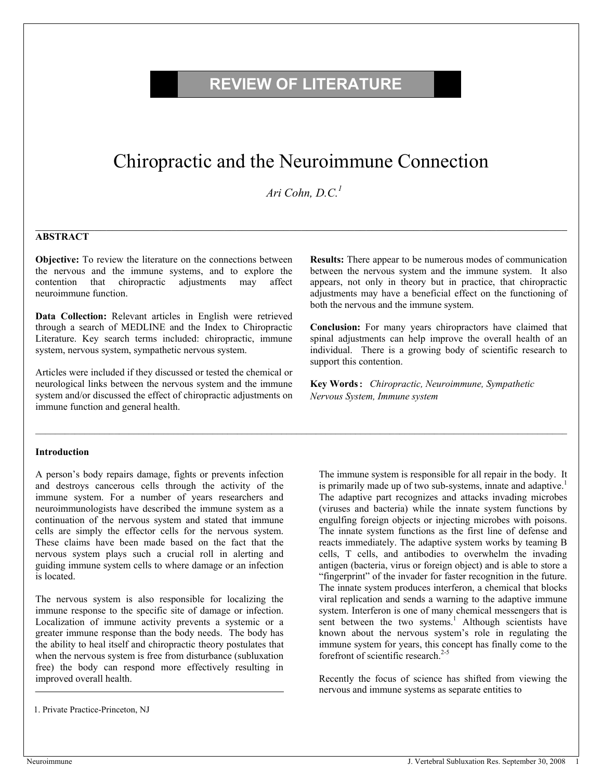# **REVIEW OF LITERATURE**

# Chiropractic and the Neuroimmune Connection

 *Ari Cohn, D.C.1*

 $\mathcal{L}_\mathcal{L} = \mathcal{L}_\mathcal{L} = \mathcal{L}_\mathcal{L} = \mathcal{L}_\mathcal{L} = \mathcal{L}_\mathcal{L} = \mathcal{L}_\mathcal{L} = \mathcal{L}_\mathcal{L} = \mathcal{L}_\mathcal{L} = \mathcal{L}_\mathcal{L} = \mathcal{L}_\mathcal{L} = \mathcal{L}_\mathcal{L} = \mathcal{L}_\mathcal{L} = \mathcal{L}_\mathcal{L} = \mathcal{L}_\mathcal{L} = \mathcal{L}_\mathcal{L} = \mathcal{L}_\mathcal{L} = \mathcal{L}_\mathcal{L}$ 

#### **ABSTRACT**

**Objective:** To review the literature on the connections between the nervous and the immune systems, and to explore the contention that chiropractic adjustments may affect neuroimmune function.

**Data Collection:** Relevant articles in English were retrieved through a search of MEDLINE and the Index to Chiropractic Literature. Key search terms included: chiropractic, immune system, nervous system, sympathetic nervous system.

Articles were included if they discussed or tested the chemical or neurological links between the nervous system and the immune system and/or discussed the effect of chiropractic adjustments on immune function and general health.

**Results:** There appear to be numerous modes of communication between the nervous system and the immune system. It also appears, not only in theory but in practice, that chiropractic adjustments may have a beneficial effect on the functioning of both the nervous and the immune system.

**Conclusion:** For many years chiropractors have claimed that spinal adjustments can help improve the overall health of an individual. There is a growing body of scientific research to support this contention.

**Key Words:** *Chiropractic, Neuroimmune, Sympathetic Nervous System, Immune system*

#### **Introduction**

A person's body repairs damage, fights or prevents infection and destroys cancerous cells through the activity of the immune system. For a number of years researchers and neuroimmunologists have described the immune system as a continuation of the nervous system and stated that immune cells are simply the effector cells for the nervous system. These claims have been made based on the fact that the nervous system plays such a crucial roll in alerting and guiding immune system cells to where damage or an infection is located.

The nervous system is also responsible for localizing the immune response to the specific site of damage or infection. Localization of immune activity prevents a systemic or a greater immune response than the body needs. The body has the ability to heal itself and chiropractic theory postulates that when the nervous system is free from disturbance (subluxation free) the body can respond more effectively resulting in improved overall health.

The immune system is responsible for all repair in the body. It is primarily made up of two sub-systems, innate and adaptive.<sup>1</sup> The adaptive part recognizes and attacks invading microbes (viruses and bacteria) while the innate system functions by engulfing foreign objects or injecting microbes with poisons. The innate system functions as the first line of defense and reacts immediately. The adaptive system works by teaming B cells, T cells, and antibodies to overwhelm the invading antigen (bacteria, virus or foreign object) and is able to store a "fingerprint" of the invader for faster recognition in the future. The innate system produces interferon, a chemical that blocks viral replication and sends a warning to the adaptive immune system. Interferon is one of many chemical messengers that is sent between the two systems.<sup>1</sup> Although scientists have known about the nervous system's role in regulating the immune system for years, this concept has finally come to the forefront of scientific research. $2-5$ 

Recently the focus of science has shifted from viewing the nervous and immune systems as separate entities to

<sup>1.</sup> Private Practice-Princeton, NJ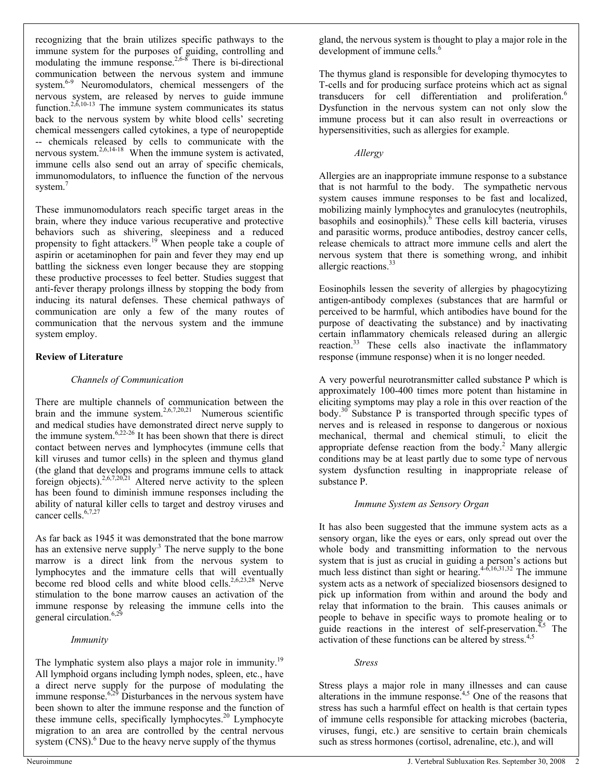recognizing that the brain utilizes specific pathways to the immune system for the purposes of guiding, controlling and modulating the immune response.<sup>2,6-8</sup> There is bi-directional communication between the nervous system and immune system.<sup>6-9</sup> Neuromodulators, chemical messengers of the nervous system, are released by nerves to guide immune function.<sup>2,6,10-13</sup> The immune system communicates its status back to the nervous system by white blood cells' secreting chemical messengers called cytokines, a type of neuropeptide -- chemicals released by cells to communicate with the nervous system.<sup>2,6,14-18</sup> When the immune system is activated, immune cells also send out an array of specific chemicals, immunomodulators, to influence the function of the nervous system.<sup>7</sup>

These immunomodulators reach specific target areas in the brain, where they induce various recuperative and protective behaviors such as shivering, sleepiness and a reduced propensity to fight attackers.<sup>19</sup> When people take a couple of aspirin or acetaminophen for pain and fever they may end up battling the sickness even longer because they are stopping these productive processes to feel better. Studies suggest that anti-fever therapy prolongs illness by stopping the body from inducing its natural defenses. These chemical pathways of communication are only a few of the many routes of communication that the nervous system and the immune system employ.

# **Review of Literature**

## *Channels of Communication*

There are multiple channels of communication between the brain and the immune system.<sup>2,6,7,20,21</sup> Numerous scientific and medical studies have demonstrated direct nerve supply to the immune system. $6,22-26$  It has been shown that there is direct contact between nerves and lymphocytes (immune cells that kill viruses and tumor cells) in the spleen and thymus gland (the gland that develops and programs immune cells to attack foreign objects).<sup>2,6,7,20,21</sup> Altered nerve activity to the spleen has been found to diminish immune responses including the ability of natural killer cells to target and destroy viruses and cancer cells.<sup>6,7,27</sup>

As far back as 1945 it was demonstrated that the bone marrow has an extensive nerve supply.<sup>3</sup> The nerve supply to the bone marrow is a direct link from the nervous system to lymphocytes and the immature cells that will eventually become red blood cells and white blood cells.<sup>2,6,23,28</sup> Nerve stimulation to the bone marrow causes an activation of the immune response by releasing the immune cells into the general circulation.<sup>6,29</sup>

#### *Immunity*

The lymphatic system also plays a major role in immunity.<sup>19</sup> All lymphoid organs including lymph nodes, spleen, etc., have a direct nerve supply for the purpose of modulating the immune response. $6,29$  Disturbances in the nervous system have been shown to alter the immune response and the function of these immune cells, specifically lymphocytes. $20$  Lymphocyte migration to an area are controlled by the central nervous system  $(CNS)$ .<sup>6</sup> Due to the heavy nerve supply of the thymus

The thymus gland is responsible for developing thymocytes to T-cells and for producing surface proteins which act as signal transducers for cell differentiation and proliferation.<sup>6</sup> Dysfunction in the nervous system can not only slow the immune process but it can also result in overreactions or hypersensitivities, such as allergies for example.

#### *Allergy*

Allergies are an inappropriate immune response to a substance that is not harmful to the body. The sympathetic nervous system causes immune responses to be fast and localized, mobilizing mainly lymphocytes and granulocytes (neutrophils, basophils and eosinophils). $6$  These cells kill bacteria, viruses and parasitic worms, produce antibodies, destroy cancer cells, release chemicals to attract more immune cells and alert the nervous system that there is something wrong, and inhibit allergic reactions.<sup>33</sup>

Eosinophils lessen the severity of allergies by phagocytizing antigen-antibody complexes (substances that are harmful or perceived to be harmful, which antibodies have bound for the purpose of deactivating the substance) and by inactivating certain inflammatory chemicals released during an allergic reaction.<sup>33</sup> These cells also inactivate the inflammatory response (immune response) when it is no longer needed.

A very powerful neurotransmitter called substance P which is approximately 100-400 times more potent than histamine in eliciting symptoms may play a role in this over reaction of the body.<sup>30</sup> Substance P is transported through specific types of nerves and is released in response to dangerous or noxious mechanical, thermal and chemical stimuli, to elicit the appropriate defense reaction from the body.<sup>2</sup> Many allergic conditions may be at least partly due to some type of nervous system dysfunction resulting in inappropriate release of substance P.

#### *Immune System as Sensory Organ*

It has also been suggested that the immune system acts as a sensory organ, like the eyes or ears, only spread out over the whole body and transmitting information to the nervous system that is just as crucial in guiding a person's actions but much less distinct than sight or hearing.  $4-6,16,31,32$  The immune system acts as a network of specialized biosensors designed to pick up information from within and around the body and relay that information to the brain. This causes animals or people to behave in specific ways to promote healing or to guide reactions in the interest of self-preservation.<sup> $7,5$ </sup> The activation of these functions can be altered by stress.<sup>4,5</sup>

#### *Stress*

Stress plays a major role in many illnesses and can cause alterations in the immune response.4,5 One of the reasons that stress has such a harmful effect on health is that certain types of immune cells responsible for attacking microbes (bacteria, viruses, fungi, etc.) are sensitive to certain brain chemicals such as stress hormones (cortisol, adrenaline, etc.), and will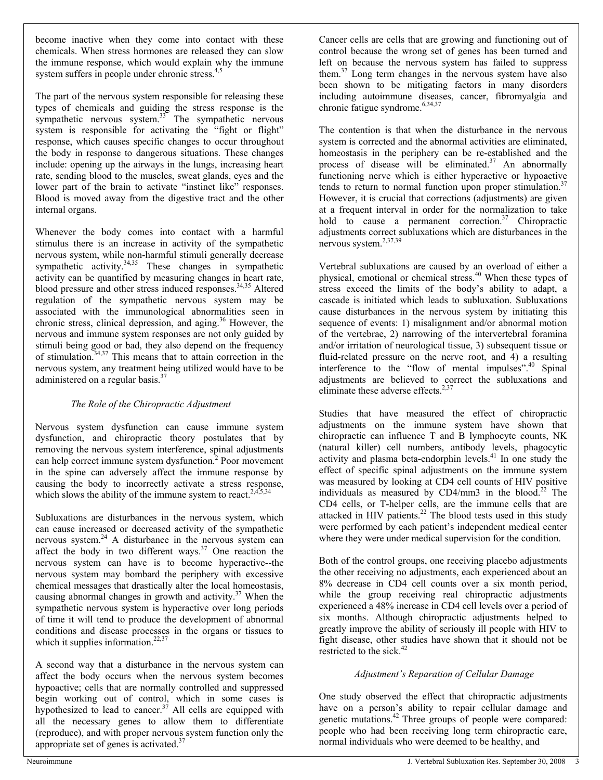become inactive when they come into contact with these chemicals. When stress hormones are released they can slow the immune response, which would explain why the immune system suffers in people under chronic stress.<sup>4,5</sup>

The part of the nervous system responsible for releasing these types of chemicals and guiding the stress response is the sympathetic nervous system.<sup>33</sup> The sympathetic nervous system is responsible for activating the "fight or flight" response, which causes specific changes to occur throughout the body in response to dangerous situations. These changes include: opening up the airways in the lungs, increasing heart rate, sending blood to the muscles, sweat glands, eyes and the lower part of the brain to activate "instinct like" responses. Blood is moved away from the digestive tract and the other internal organs.

Whenever the body comes into contact with a harmful stimulus there is an increase in activity of the sympathetic nervous system, while non-harmful stimuli generally decrease sympathetic activity. $34,35$  These changes in sympathetic activity can be quantified by measuring changes in heart rate, blood pressure and other stress induced responses.<sup>34,35</sup> Altered regulation of the sympathetic nervous system may be associated with the immunological abnormalities seen in chronic stress, clinical depression, and aging.<sup>36</sup> However, the nervous and immune system responses are not only guided by stimuli being good or bad, they also depend on the frequency of stimulation.34,37 This means that to attain correction in the nervous system, any treatment being utilized would have to be administered on a regular basis.37

# *The Role of the Chiropractic Adjustment*

Nervous system dysfunction can cause immune system dysfunction, and chiropractic theory postulates that by removing the nervous system interference, spinal adjustments can help correct immune system dysfunction.<sup>2</sup> Poor movement in the spine can adversely affect the immune response by causing the body to incorrectly activate a stress response, which slows the ability of the immune system to react.<sup>2,4,5,34</sup>

Subluxations are disturbances in the nervous system, which can cause increased or decreased activity of the sympathetic nervous system.<sup>24</sup> A disturbance in the nervous system can affect the body in two different ways.<sup>37</sup> One reaction the nervous system can have is to become hyperactive--the nervous system may bombard the periphery with excessive chemical messages that drastically alter the local homeostasis, causing abnormal changes in growth and activity. $37$  When the sympathetic nervous system is hyperactive over long periods of time it will tend to produce the development of abnormal conditions and disease processes in the organs or tissues to which it supplies information.<sup>22,37</sup>

A second way that a disturbance in the nervous system can affect the body occurs when the nervous system becomes hypoactive; cells that are normally controlled and suppressed begin working out of control, which in some cases is hypothesized to lead to cancer.<sup>37</sup> All cells are equipped with all the necessary genes to allow them to differentiate (reproduce), and with proper nervous system function only the appropriate set of genes is activated. $37$ 

Cancer cells are cells that are growing and functioning out of control because the wrong set of genes has been turned and left on because the nervous system has failed to suppress them.<sup>37</sup> Long term changes in the nervous system have also been shown to be mitigating factors in many disorders including autoimmune diseases, cancer, fibromyalgia and chronic fatigue syndrome.<sup>6,34,37</sup>

The contention is that when the disturbance in the nervous system is corrected and the abnormal activities are eliminated, homeostasis in the periphery can be re-established and the process of disease will be eliminated. $37$  An abnormally functioning nerve which is either hyperactive or hypoactive tends to return to normal function upon proper stimulation.<sup>37</sup> However, it is crucial that corrections (adjustments) are given at a frequent interval in order for the normalization to take hold to cause a permanent correction.<sup>37</sup> Chiropractic adjustments correct subluxations which are disturbances in the nervous system.2,37,39

Vertebral subluxations are caused by an overload of either a physical, emotional or chemical stress.40 When these types of stress exceed the limits of the body's ability to adapt, a cascade is initiated which leads to subluxation. Subluxations cause disturbances in the nervous system by initiating this sequence of events: 1) misalignment and/or abnormal motion of the vertebrae, 2) narrowing of the intervertebral foramina and/or irritation of neurological tissue, 3) subsequent tissue or fluid-related pressure on the nerve root, and 4) a resulting interference to the "flow of mental impulses".<sup>40</sup> Spinal adjustments are believed to correct the subluxations and eliminate these adverse effects. $2,37$ 

Studies that have measured the effect of chiropractic adjustments on the immune system have shown that chiropractic can influence T and B lymphocyte counts, NK (natural killer) cell numbers, antibody levels, phagocytic activity and plasma beta-endorphin levels.<sup>41</sup> In one study the effect of specific spinal adjustments on the immune system was measured by looking at CD4 cell counts of HIV positive individuals as measured by  $CD4/mm3$  in the blood.<sup>22</sup> The CD4 cells, or T-helper cells, are the immune cells that are attacked in HIV patients.<sup>22</sup> The blood tests used in this study were performed by each patient's independent medical center where they were under medical supervision for the condition.

Both of the control groups, one receiving placebo adjustments the other receiving no adjustments, each experienced about an 8% decrease in CD4 cell counts over a six month period, while the group receiving real chiropractic adjustments experienced a 48% increase in CD4 cell levels over a period of six months. Although chiropractic adjustments helped to greatly improve the ability of seriously ill people with HIV to fight disease, other studies have shown that it should not be restricted to the sick.<sup>42</sup>

# *Adjustment's Reparation of Cellular Damage*

One study observed the effect that chiropractic adjustments have on a person's ability to repair cellular damage and genetic mutations.<sup>42</sup> Three groups of people were compared: people who had been receiving long term chiropractic care, normal individuals who were deemed to be healthy, and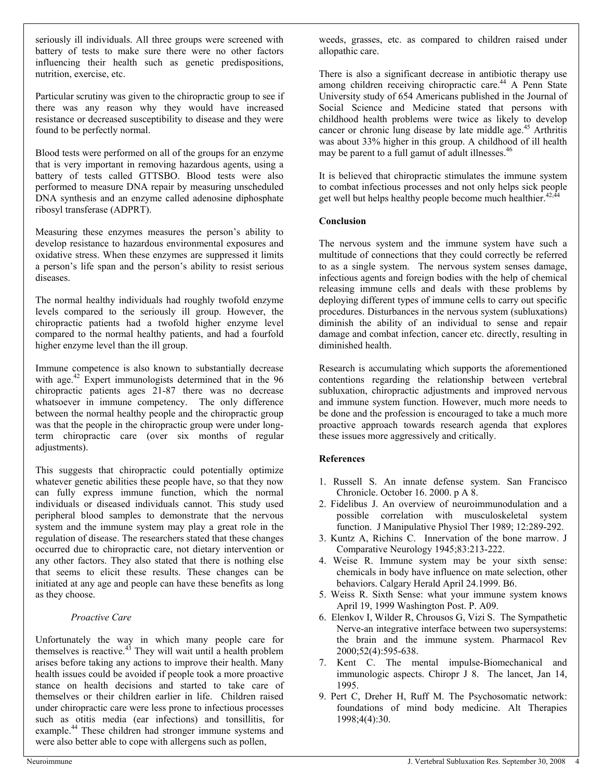seriously ill individuals. All three groups were screened with battery of tests to make sure there were no other factors influencing their health such as genetic predispositions, nutrition, exercise, etc.

Particular scrutiny was given to the chiropractic group to see if there was any reason why they would have increased resistance or decreased susceptibility to disease and they were found to be perfectly normal.

Blood tests were performed on all of the groups for an enzyme that is very important in removing hazardous agents, using a battery of tests called GTTSBO. Blood tests were also performed to measure DNA repair by measuring unscheduled DNA synthesis and an enzyme called adenosine diphosphate ribosyl transferase (ADPRT).

Measuring these enzymes measures the person's ability to develop resistance to hazardous environmental exposures and oxidative stress. When these enzymes are suppressed it limits a person's life span and the person's ability to resist serious diseases.

The normal healthy individuals had roughly twofold enzyme levels compared to the seriously ill group. However, the chiropractic patients had a twofold higher enzyme level compared to the normal healthy patients, and had a fourfold higher enzyme level than the ill group.

Immune competence is also known to substantially decrease with age.<sup>42</sup> Expert immunologists determined that in the 96 chiropractic patients ages 21-87 there was no decrease whatsoever in immune competency. The only difference between the normal healthy people and the chiropractic group was that the people in the chiropractic group were under longterm chiropractic care (over six months of regular adjustments).

This suggests that chiropractic could potentially optimize whatever genetic abilities these people have, so that they now can fully express immune function, which the normal individuals or diseased individuals cannot. This study used peripheral blood samples to demonstrate that the nervous system and the immune system may play a great role in the regulation of disease. The researchers stated that these changes occurred due to chiropractic care, not dietary intervention or any other factors. They also stated that there is nothing else that seems to elicit these results. These changes can be initiated at any age and people can have these benefits as long as they choose.

#### *Proactive Care*

Unfortunately the way in which many people care for themselves is reactive.<sup>43</sup> They will wait until a health problem arises before taking any actions to improve their health. Many health issues could be avoided if people took a more proactive stance on health decisions and started to take care of themselves or their children earlier in life. Children raised under chiropractic care were less prone to infectious processes such as otitis media (ear infections) and tonsillitis, for example.<sup>44</sup> These children had stronger immune systems and were also better able to cope with allergens such as pollen,

weeds, grasses, etc. as compared to children raised under allopathic care.

There is also a significant decrease in antibiotic therapy use among children receiving chiropractic care.<sup>44</sup> A Penn State University study of 654 Americans published in the Journal of Social Science and Medicine stated that persons with childhood health problems were twice as likely to develop cancer or chronic lung disease by late middle age.<sup>45</sup> Arthritis was about 33% higher in this group. A childhood of ill health may be parent to a full gamut of adult illnesses.<sup>46</sup>

It is believed that chiropractic stimulates the immune system to combat infectious processes and not only helps sick people get well but helps healthy people become much healthier.<sup>42,</sup>

## **Conclusion**

The nervous system and the immune system have such a multitude of connections that they could correctly be referred to as a single system. The nervous system senses damage, infectious agents and foreign bodies with the help of chemical releasing immune cells and deals with these problems by deploying different types of immune cells to carry out specific procedures. Disturbances in the nervous system (subluxations) diminish the ability of an individual to sense and repair damage and combat infection, cancer etc. directly, resulting in diminished health.

Research is accumulating which supports the aforementioned contentions regarding the relationship between vertebral subluxation, chiropractic adjustments and improved nervous and immune system function. However, much more needs to be done and the profession is encouraged to take a much more proactive approach towards research agenda that explores these issues more aggressively and critically.

#### **References**

- 1. Russell S. An innate defense system. San Francisco Chronicle. October 16. 2000. p A 8.
- 2. Fidelibus J. An overview of neuroimmunodulation and a possible correlation with musculoskeletal system function. J Manipulative Physiol Ther 1989; 12:289-292.
- 3. Kuntz A, Richins C. Innervation of the bone marrow. J Comparative Neurology 1945;83:213-222.
- 4. Weise R. Immune system may be your sixth sense: chemicals in body have influence on mate selection, other behaviors. Calgary Herald April 24.1999. B6.
- 5. Weiss R. Sixth Sense: what your immune system knows April 19, 1999 Washington Post. P. A09.
- 6. Elenkov I, Wilder R, Chrousos G, Vizi S. The Sympathetic Nerve-an integrative interface between two supersystems: the brain and the immune system. Pharmacol Rev 2000;52(4):595-638.
- 7. Kent C. The mental impulse-Biomechanical and immunologic aspects. Chiropr J 8. The lancet, Jan 14, 1995.
- 9. Pert C, Dreher H, Ruff M. The Psychosomatic network: foundations of mind body medicine. Alt Therapies 1998;4(4):30.